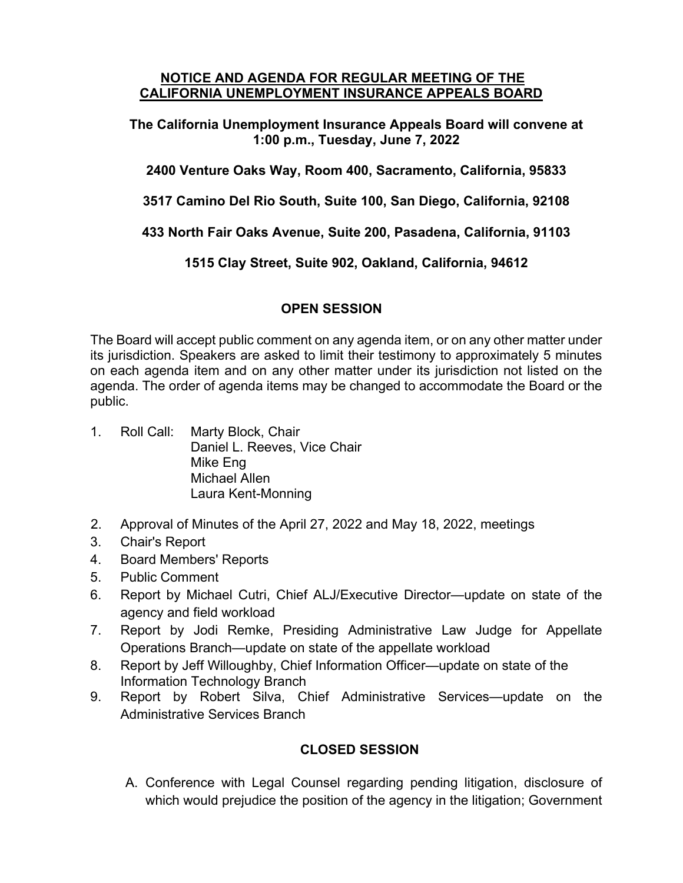#### **NOTICE AND AGENDA FOR REGULAR MEETING OF THE CALIFORNIA UNEMPLOYMENT INSURANCE APPEALS BOARD**

**The California Unemployment Insurance Appeals Board will convene at 1:00 p.m., Tuesday, June 7, 2022** 

**2400 Venture Oaks Way, Room 400, Sacramento, California, 95833**

**3517 Camino Del Rio South, Suite 100, San Diego, California, 92108**

**433 North Fair Oaks Avenue, Suite 200, Pasadena, California, 91103**

**1515 Clay Street, Suite 902, Oakland, California, 94612**

#### **OPEN SESSION**

The Board will accept public comment on any agenda item, or on any other matter under its jurisdiction. Speakers are asked to limit their testimony to approximately 5 minutes on each agenda item and on any other matter under its jurisdiction not listed on the agenda. The order of agenda items may be changed to accommodate the Board or the public.

- 1. Roll Call: Marty Block, Chair Daniel L. Reeves, Vice Chair Mike Eng Michael Allen Laura Kent-Monning
- 2. Approval of Minutes of the April 27, 2022 and May 18, 2022, meetings
- 3. Chair's Report
- 4. Board Members' Reports
- 5. Public Comment
- 6. Report by Michael Cutri, Chief ALJ/Executive Director—update on state of the agency and field workload
- 7. Report by Jodi Remke, Presiding Administrative Law Judge for Appellate Operations Branch—update on state of the appellate workload
- 8. Report by Jeff Willoughby, Chief Information Officer—update on state of the Information Technology Branch
- 9. Report by Robert Silva, Chief Administrative Services—update on the Administrative Services Branch

# **CLOSED SESSION**

A. Conference with Legal Counsel regarding pending litigation, disclosure of which would prejudice the position of the agency in the litigation; Government